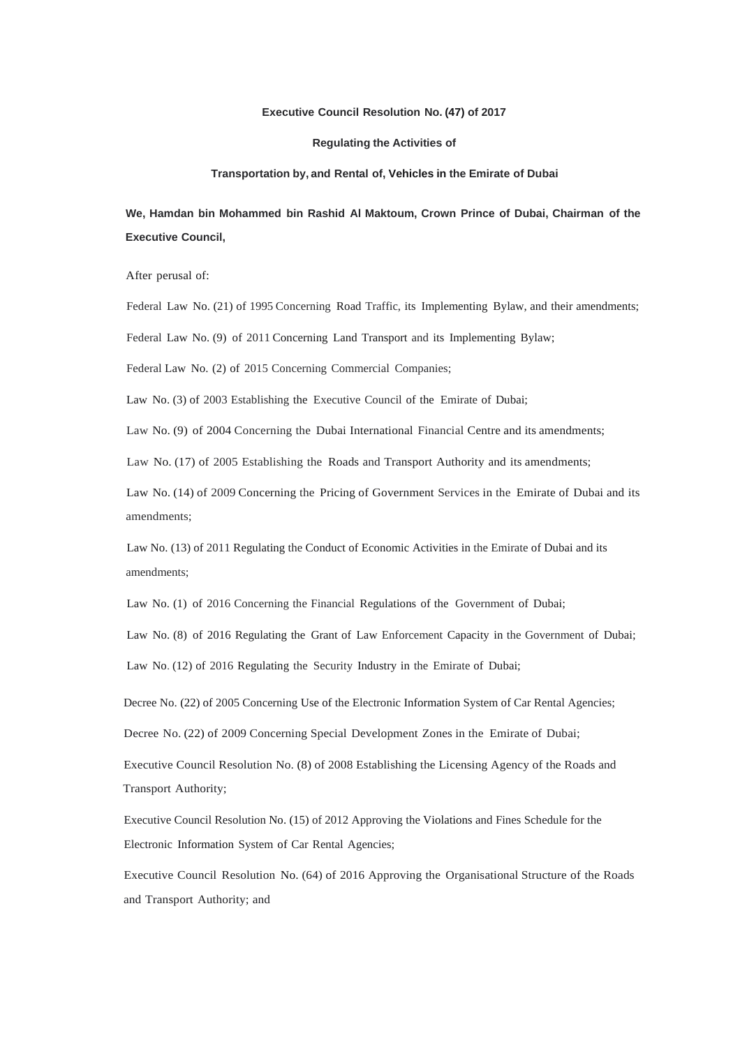#### **Executive Council Resolution No. (47) of 2017**

#### **Regulating the Activities of**

#### **Transportation by, and Rental of, Vehicles in the Emirate of Dubai**

# **We, Hamdan bin Mohammed bin Rashid Al Maktoum, Crown Prince of Dubai, Chairman of the Executive Council,**

After perusal of:

Federal Law No. (21) of 1995 Concerning Road Traffic, its Implementing Bylaw, and their amendments;

Federal Law No. (9) of 2011 Concerning Land Transport and its Implementing Bylaw;

Federal Law No. (2) of 2015 Concerning Commercial Companies;

Law No. (3) of 2003 Establishing the Executive Council of the Emirate of Dubai;

Law No. (9) of 2004 Concerning the Dubai International Financial Centre and its amendments;

Law No. (17) of 2005 Establishing the Roads and Transport Authority and its amendments;

Law No. (14) of 2009 Concerning the Pricing of Government Services in the Emirate of Dubai and its amendments;

Law No. (13) of 2011 Regulating the Conduct of Economic Activities in the Emirate of Dubai and its amendments;

Law No. (1) of 2016 Concerning the Financial Regulations of the Government of Dubai;

Law No. (8) of 2016 Regulating the Grant of Law Enforcement Capacity in the Government of Dubai;

Law No. (12) of 2016 Regulating the Security Industry in the Emirate of Dubai;

Decree No. (22) of 2005 Concerning Use of the Electronic Information System of Car Rental Agencies;

Decree No. (22) of 2009 Concerning Special Development Zones in the Emirate of Dubai;

Executive Council Resolution No. (8) of 2008 Establishing the Licensing Agency of the Roads and Transport Authority;

Executive Council Resolution No. (15) of 2012 Approving the Violations and Fines Schedule for the Electronic Information System of Car Rental Agencies;

Executive Council Resolution No. (64) of 2016 Approving the Organisational Structure of the Roads and Transport Authority; and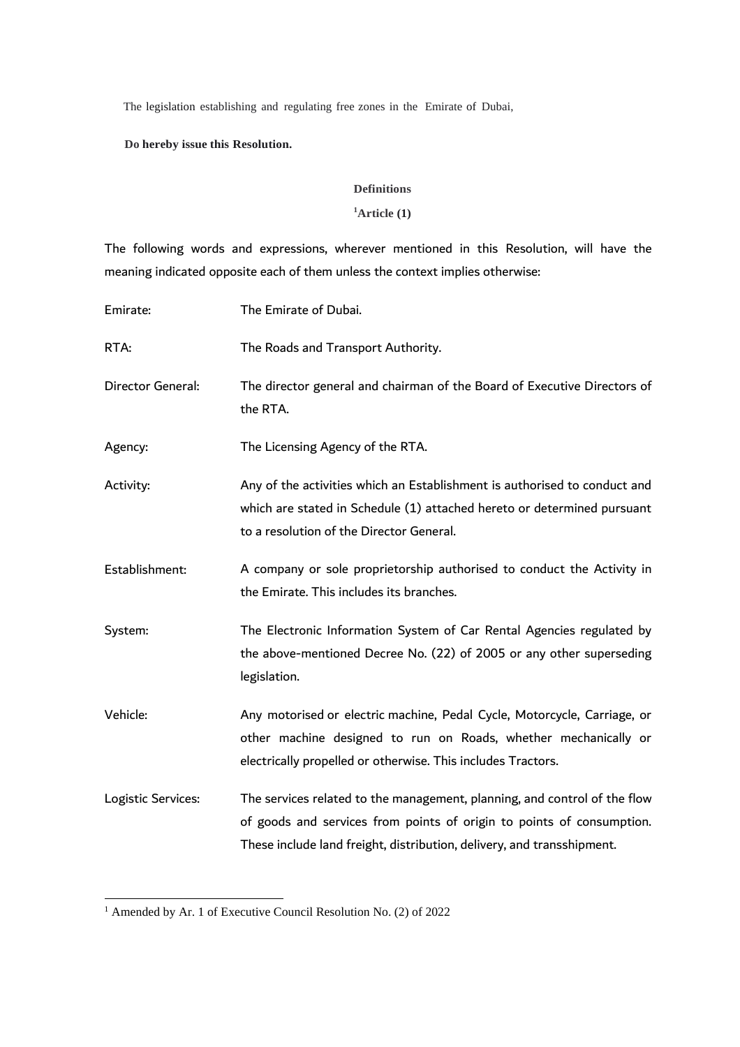The legislation establishing and regulating free zones in the Emirate of Dubai,

### **Do hereby issue this Resolution.**

### **Definitions**

## **<sup>1</sup>Article (1)**

The following words and expressions, wherever mentioned in this Resolution, will have the meaning indicated opposite each of them unless the context implies otherwise:

| Emirate:           | The Emirate of Dubai.                                                                                                                                                                                                        |
|--------------------|------------------------------------------------------------------------------------------------------------------------------------------------------------------------------------------------------------------------------|
| RTA:               | The Roads and Transport Authority.                                                                                                                                                                                           |
| Director General:  | The director general and chairman of the Board of Executive Directors of<br>the RTA.                                                                                                                                         |
| Agency:            | The Licensing Agency of the RTA.                                                                                                                                                                                             |
| Activity:          | Any of the activities which an Establishment is authorised to conduct and<br>which are stated in Schedule (1) attached hereto or determined pursuant<br>to a resolution of the Director General.                             |
| Establishment:     | A company or sole proprietorship authorised to conduct the Activity in<br>the Emirate. This includes its branches.                                                                                                           |
| System:            | The Electronic Information System of Car Rental Agencies regulated by<br>the above-mentioned Decree No. (22) of 2005 or any other superseding<br>legislation.                                                                |
| Vehicle:           | Any motorised or electric machine, Pedal Cycle, Motorcycle, Carriage, or<br>other machine designed to run on Roads, whether mechanically or<br>electrically propelled or otherwise. This includes Tractors.                  |
| Logistic Services: | The services related to the management, planning, and control of the flow<br>of goods and services from points of origin to points of consumption.<br>These include land freight, distribution, delivery, and transshipment. |

<sup>1</sup> Amended by Ar. 1 of Executive Council Resolution No. (2) of 2022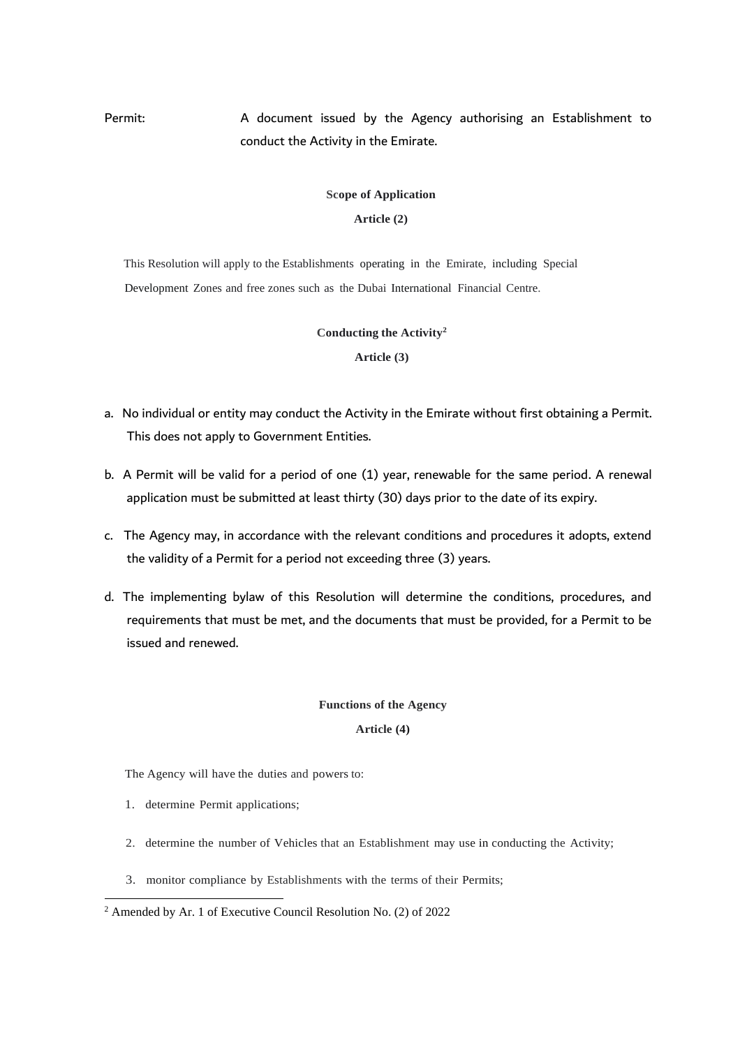# Permit: A document issued by the Agency authorising an Establishment to conduct the Activity in the Emirate.

# **Scope of Application**

**Article (2)**

This Resolution will apply to the Establishments operating in the Emirate, including Special Development Zones and free zones such as the Dubai International Financial Centre.

### **Conducting the Activity<sup>2</sup>**

**Article (3)**

- a. No individual or entity may conduct the Activity in the Emirate without first obtaining a Permit. This does not apply to Government Entities.
- b. A Permit will be valid for a period of one (1) year, renewable for the same period. A renewal application must be submitted at least thirty (30) days prior to the date of its expiry.
- c. The Agency may, in accordance with the relevant conditions and procedures it adopts, extend the validity of a Permit for a period not exceeding three (3) years.
- d. The implementing bylaw of this Resolution will determine the conditions, procedures, and requirements that must be met, and the documents that must be provided, for a Permit to be issued and renewed.

#### **Functions of the Agency**

#### **Article (4)**

The Agency will have the duties and powers to:

- 1. determine Permit applications;
- 2. determine the number of Vehicles that an Establishment may use in conducting the Activity;
- 3. monitor compliance by Establishments with the terms of their Permits;

<sup>2</sup> Amended by Ar. 1 of Executive Council Resolution No. (2) of 2022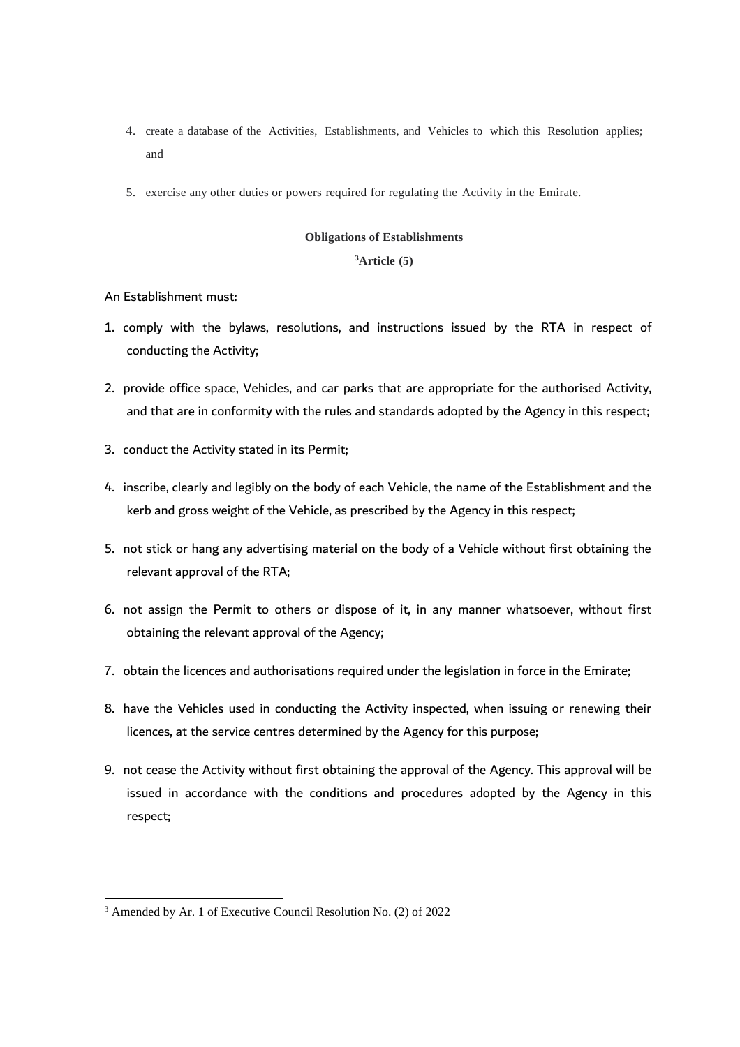- 4. create a database of the Activities, Establishments, and Vehicles to which this Resolution applies; and
- 5. exercise any other duties or powers required for regulating the Activity in the Emirate.

#### **Obligations of Establishments**

## **<sup>3</sup>Article (5)**

### An Establishment must:

- 1. comply with the bylaws, resolutions, and instructions issued by the RTA in respect of conducting the Activity;
- 2. provide office space, Vehicles, and car parks that are appropriate for the authorised Activity, and that are in conformity with the rules and standards adopted by the Agency in this respect;
- 3. conduct the Activity stated in its Permit;
- 4. inscribe, clearly and legibly on the body of each Vehicle, the name of the Establishment and the kerb and gross weight of the Vehicle, as prescribed by the Agency in this respect;
- 5. not stick or hang any advertising material on the body of a Vehicle without first obtaining the relevant approval of the RTA;
- 6. not assign the Permit to others or dispose of it, in any manner whatsoever, without first obtaining the relevant approval of the Agency;
- 7. obtain the licences and authorisations required under the legislation in force in the Emirate;
- 8. have the Vehicles used in conducting the Activity inspected, when issuing or renewing their licences, at the service centres determined by the Agency for this purpose;
- 9. not cease the Activity without first obtaining the approval of the Agency. This approval will be issued in accordance with the conditions and procedures adopted by the Agency in this respect;

<sup>3</sup> Amended by Ar. 1 of Executive Council Resolution No. (2) of 2022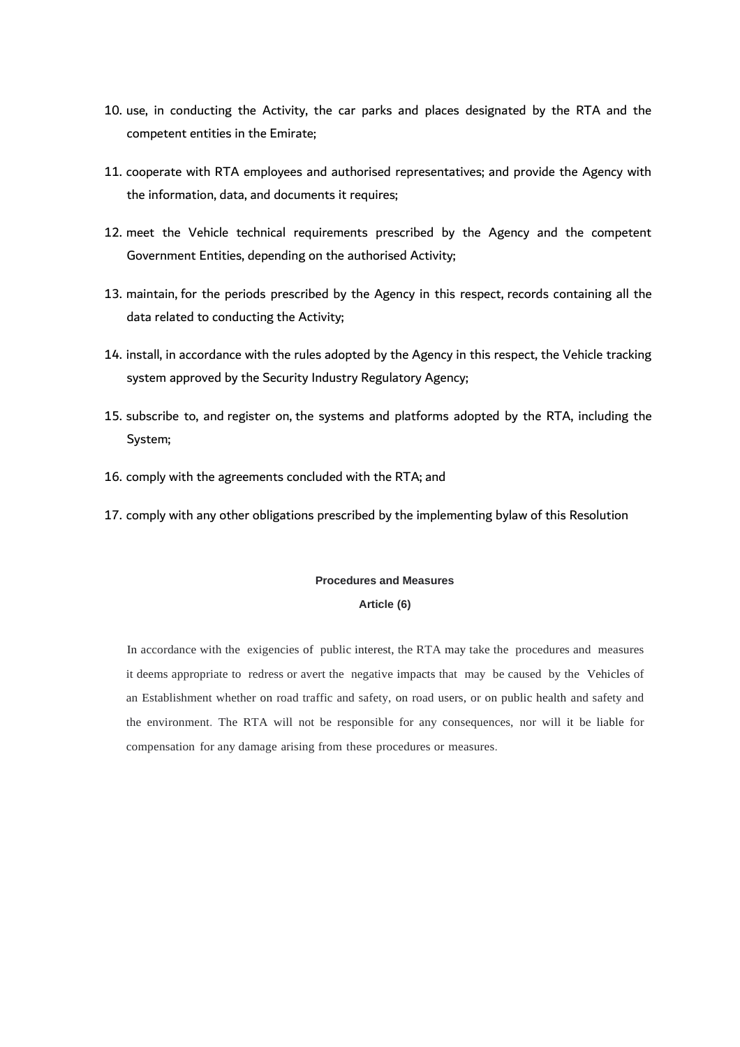- 10. use, in conducting the Activity, the car parks and places designated by the RTA and the competent entities in the Emirate;
- 11. cooperate with RTA employees and authorised representatives; and provide the Agency with the information, data, and documents it requires;
- 12. meet the Vehicle technical requirements prescribed by the Agency and the competent Government Entities, depending on the authorised Activity;
- 13. maintain, for the periods prescribed by the Agency in this respect, records containing all the data related to conducting the Activity;
- 14. install, in accordance with the rules adopted by the Agency in this respect, the Vehicle tracking system approved by the Security Industry Regulatory Agency;
- 15. subscribe to, and register on, the systems and platforms adopted by the RTA, including the System;
- 16. comply with the agreements concluded with the RTA; and
- 17. comply with any other obligations prescribed by the implementing bylaw of this Resolution

#### **Procedures and Measures**

#### **Article (6)**

In accordance with the exigencies of public interest, the RTA may take the procedures and measures it deems appropriate to redress or avert the negative impacts that may be caused by the Vehicles of an Establishment whether on road traffic and safety, on road users, or on public health and safety and the environment. The RTA will not be responsible for any consequences, nor will it be liable for compensation for any damage arising from these procedures or measures.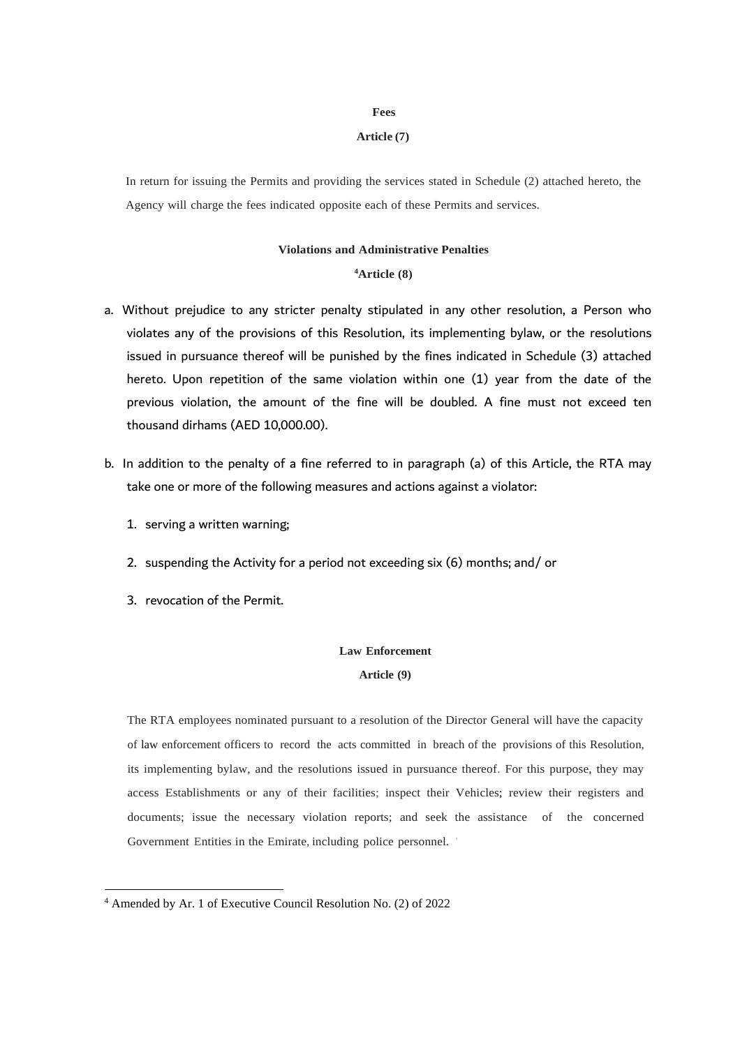#### **Fees**

#### **Article (7)**

In return for issuing the Permits and providing the services stated in Schedule (2) attached hereto, the Agency will charge the fees indicated opposite each of these Permits and services.

#### **Violations and Administrative Penalties**

#### **<sup>4</sup>Article (8)**

- a. Without prejudice to any stricter penalty stipulated in any other resolution, a Person who violates any of the provisions of this Resolution, its implementing bylaw, or the resolutions issued in pursuance thereof will be punished by the fines indicated in Schedule (3) attached hereto. Upon repetition of the same violation within one (1) year from the date of the previous violation, the amount of the fine will be doubled. A fine must not exceed ten thousand dirhams (AED 10,000.00).
- b. In addition to the penalty of a fine referred to in paragraph (a) of this Article, the RTA may take one or more of the following measures and actions against a violator:
	- 1. serving a written warning;
	- 2. suspending the Activity for a period not exceeding six (6) months; and/ or
	- 3. revocation of the Permit.

#### **Law Enforcement**

#### **Article (9)**

The RTA employees nominated pursuant to a resolution of the Director General will have the capacity of law enforcement officers to record the acts committed in breach of the provisions of this Resolution, its implementing bylaw, and the resolutions issued in pursuance thereof. For this purpose, they may access Establishments or any of their facilities; inspect their Vehicles; review their registers and documents; issue the necessary violation reports; and seek the assistance of the concerned Government Entities in the Emirate, including police personnel. '

<sup>4</sup> Amended by Ar. 1 of Executive Council Resolution No. (2) of 2022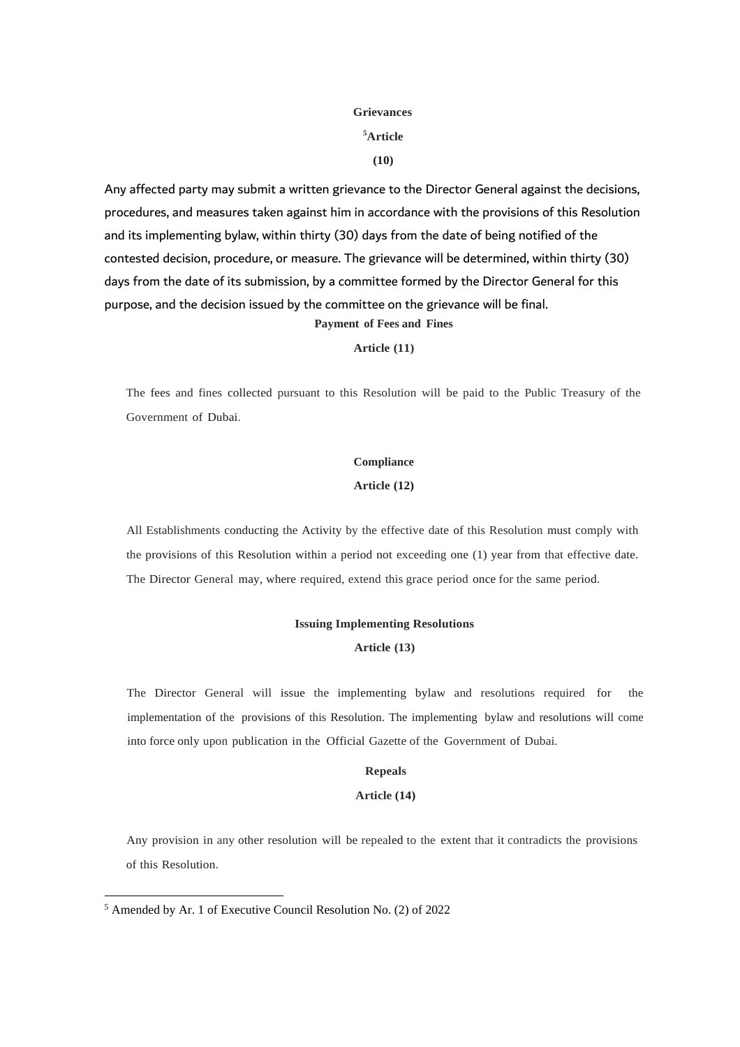## **Grievances**

#### **<sup>5</sup>Article**

#### **(10)**

Any affected party may submit a written grievance to the Director General against the decisions, procedures, and measures taken against him in accordance with the provisions of this Resolution and its implementing bylaw, within thirty (30) days from the date of being notified of the contested decision, procedure, or measure. The grievance will be determined, within thirty (30) days from the date of its submission, by a committee formed by the Director General for this purpose, and the decision issued by the committee on the grievance will be final. **Payment of Fees and Fines**

#### **Article (11)**

The fees and fines collected pursuant to this Resolution will be paid to the Public Treasury of the Government of Dubai.

## **Compliance Article (12)**

All Establishments conducting the Activity by the effective date of this Resolution must comply with the provisions of this Resolution within a period not exceeding one (1) year from that effective date. The Director General may, where required, extend this grace period once for the same period.

#### **Issuing Implementing Resolutions**

### **Article (13)**

The Director General will issue the implementing bylaw and resolutions required for the implementation of the provisions of this Resolution. The implementing bylaw and resolutions will come into force only upon publication in the Official Gazette of the Government of Dubai.

#### **Repeals**

#### **Article (14)**

Any provision in any other resolution will be repealed to the extent that it contradicts the provisions of this Resolution.

<sup>5</sup> Amended by Ar. 1 of Executive Council Resolution No. (2) of 2022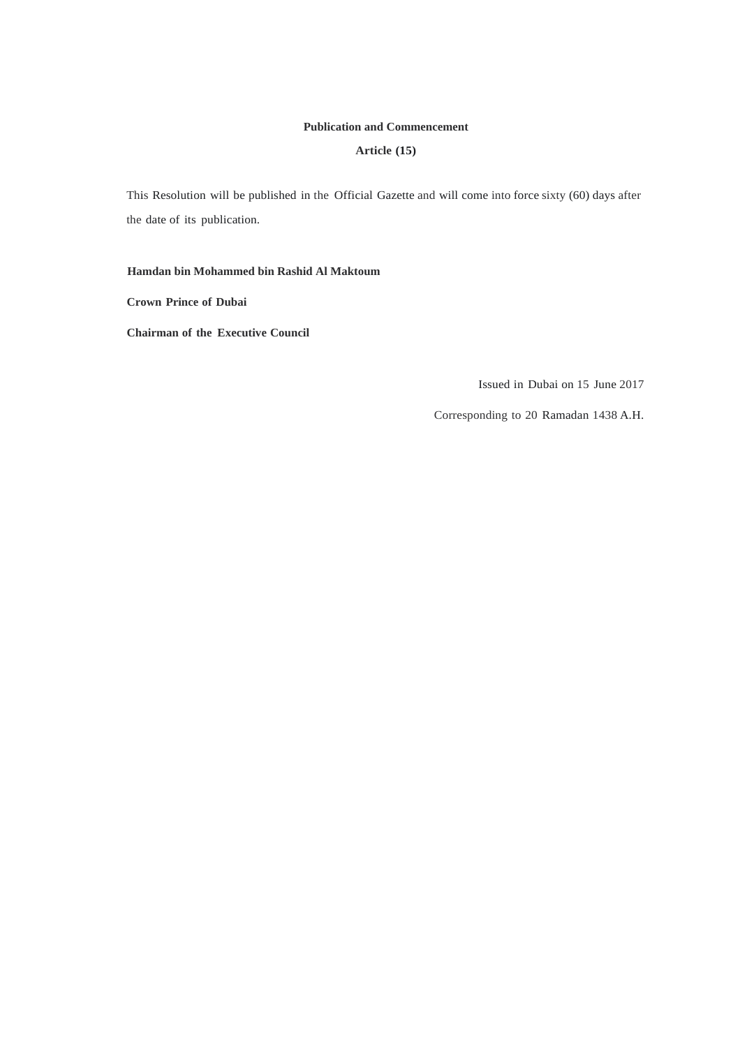#### **Publication and Commencement**

#### **Article (15)**

This Resolution will be published in the Official Gazette and will come into force sixty (60) days after the date of its publication.

**Hamdan bin Mohammed bin Rashid Al Maktoum**

**Crown Prince of Dubai**

**Chairman of the Executive Council**

Issued in Dubai on 15 June 2017

Corresponding to 20 Ramadan 1438 A.H.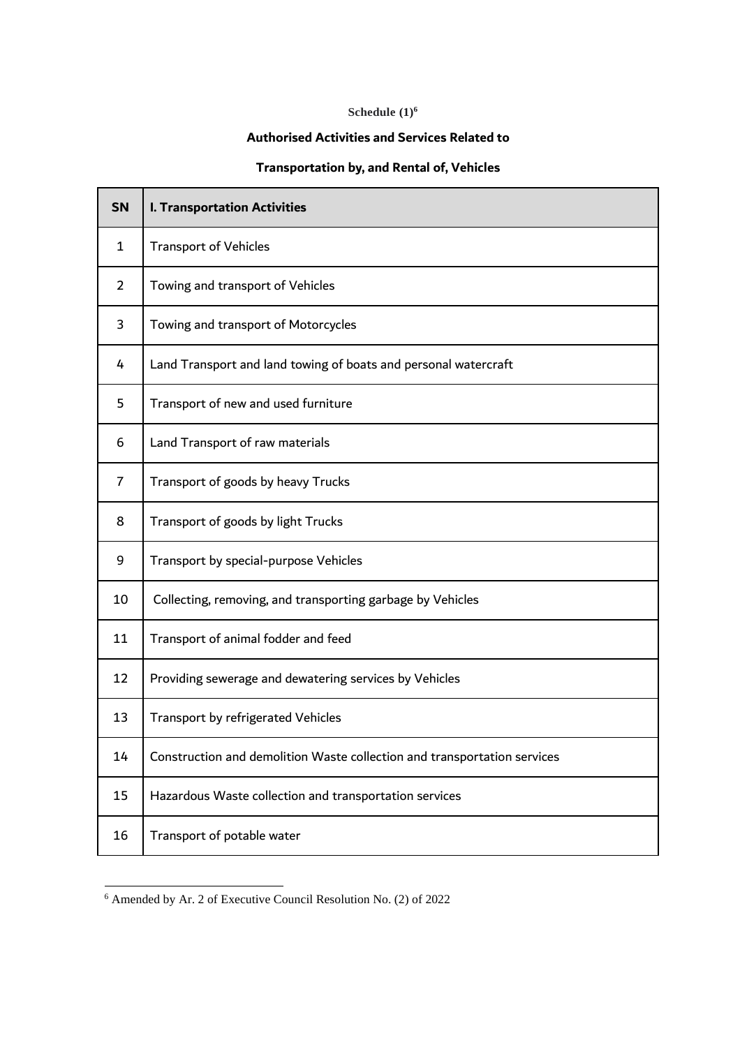# **Schedule (1)<sup>6</sup>**

## **Authorised Activities and Services Related to**

# **Transportation by, and Rental of, Vehicles**

| <b>SN</b>      | <b>I. Transportation Activities</b>                                      |
|----------------|--------------------------------------------------------------------------|
| $\mathbf{1}$   | <b>Transport of Vehicles</b>                                             |
| 2              | Towing and transport of Vehicles                                         |
| 3              | Towing and transport of Motorcycles                                      |
| 4              | Land Transport and land towing of boats and personal watercraft          |
| 5              | Transport of new and used furniture                                      |
| 6              | Land Transport of raw materials                                          |
| $\overline{7}$ | Transport of goods by heavy Trucks                                       |
| 8              | Transport of goods by light Trucks                                       |
| 9              | Transport by special-purpose Vehicles                                    |
| 10             | Collecting, removing, and transporting garbage by Vehicles               |
| 11             | Transport of animal fodder and feed                                      |
| 12             | Providing sewerage and dewatering services by Vehicles                   |
| 13             | Transport by refrigerated Vehicles                                       |
| 14             | Construction and demolition Waste collection and transportation services |
| 15             | Hazardous Waste collection and transportation services                   |
| 16             | Transport of potable water                                               |

Amended by Ar. 2 of Executive Council Resolution No. (2) of 2022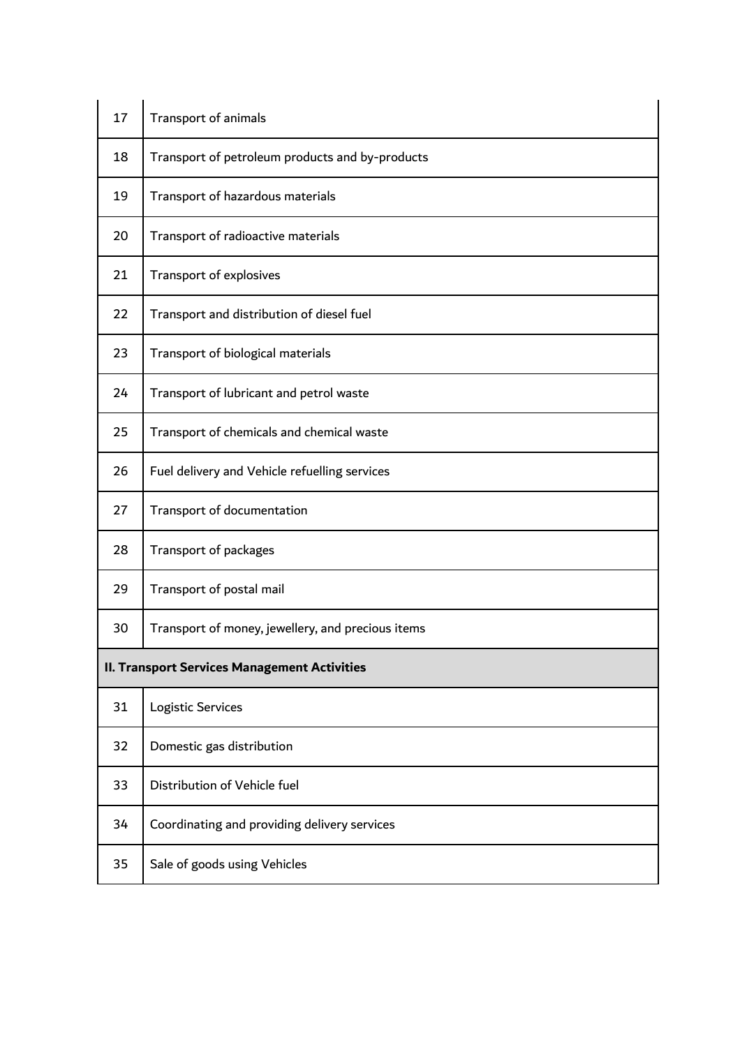| 17 | Transport of animals                                |
|----|-----------------------------------------------------|
| 18 | Transport of petroleum products and by-products     |
| 19 | Transport of hazardous materials                    |
| 20 | Transport of radioactive materials                  |
| 21 | Transport of explosives                             |
| 22 | Transport and distribution of diesel fuel           |
| 23 | Transport of biological materials                   |
| 24 | Transport of lubricant and petrol waste             |
| 25 | Transport of chemicals and chemical waste           |
| 26 | Fuel delivery and Vehicle refuelling services       |
| 27 | Transport of documentation                          |
| 28 | Transport of packages                               |
| 29 | Transport of postal mail                            |
| 30 | Transport of money, jewellery, and precious items   |
|    | <b>II. Transport Services Management Activities</b> |
| 31 | Logistic Services                                   |
| 32 | Domestic gas distribution                           |
| 33 | Distribution of Vehicle fuel                        |
| 34 | Coordinating and providing delivery services        |
| 35 | Sale of goods using Vehicles                        |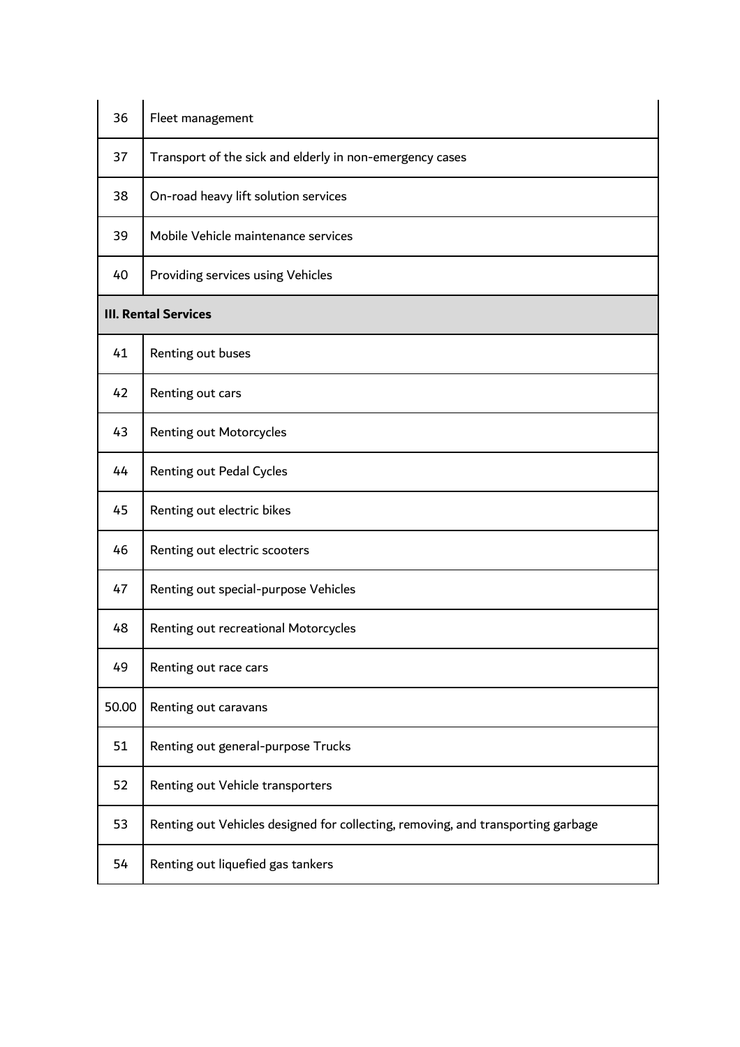| 36                          | Fleet management                                                                 |  |
|-----------------------------|----------------------------------------------------------------------------------|--|
| 37                          | Transport of the sick and elderly in non-emergency cases                         |  |
| 38                          | On-road heavy lift solution services                                             |  |
| 39                          | Mobile Vehicle maintenance services                                              |  |
| 40                          | Providing services using Vehicles                                                |  |
| <b>III. Rental Services</b> |                                                                                  |  |
| 41                          | Renting out buses                                                                |  |
| 42                          | Renting out cars                                                                 |  |
| 43                          | Renting out Motorcycles                                                          |  |
| 44                          | Renting out Pedal Cycles                                                         |  |
| 45                          | Renting out electric bikes                                                       |  |
| 46                          | Renting out electric scooters                                                    |  |
| 47                          | Renting out special-purpose Vehicles                                             |  |
| 48                          | Renting out recreational Motorcycles                                             |  |
| 49                          | Renting out race cars                                                            |  |
| 50.00                       | Renting out caravans                                                             |  |
| 51                          | Renting out general-purpose Trucks                                               |  |
| 52                          | Renting out Vehicle transporters                                                 |  |
| 53                          | Renting out Vehicles designed for collecting, removing, and transporting garbage |  |
| 54                          | Renting out liquefied gas tankers                                                |  |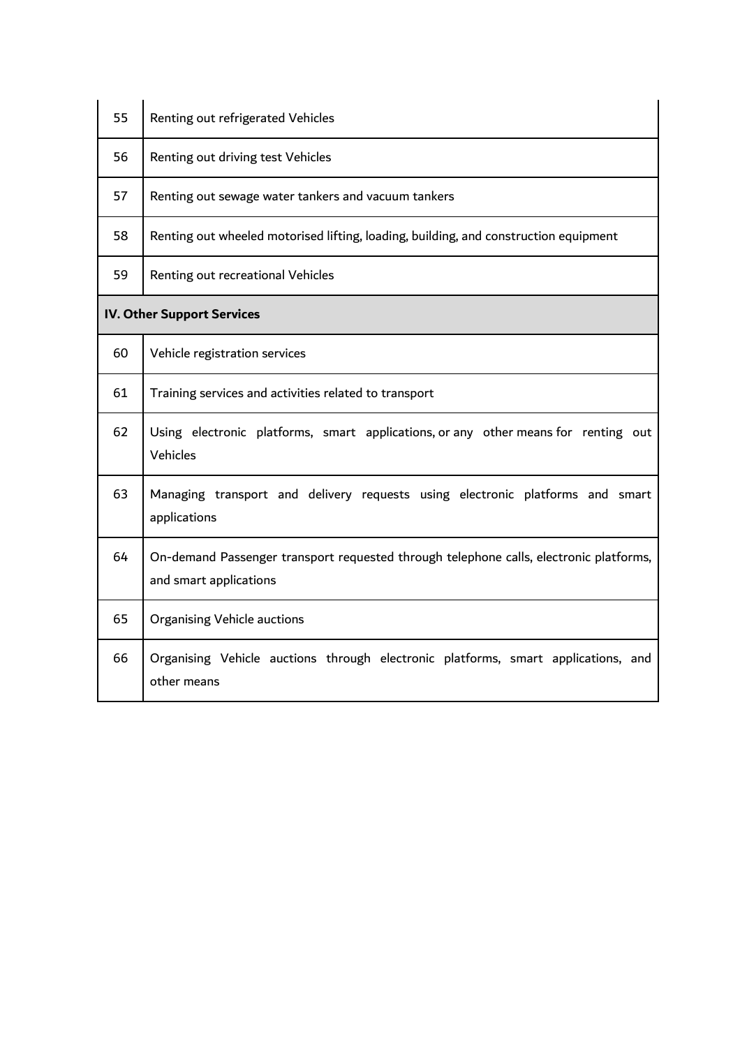| 55 | Renting out refrigerated Vehicles                                                                                |
|----|------------------------------------------------------------------------------------------------------------------|
| 56 | Renting out driving test Vehicles                                                                                |
| 57 | Renting out sewage water tankers and vacuum tankers                                                              |
| 58 | Renting out wheeled motorised lifting, loading, building, and construction equipment                             |
| 59 | Renting out recreational Vehicles                                                                                |
|    | <b>IV. Other Support Services</b>                                                                                |
| 60 | Vehicle registration services                                                                                    |
| 61 | Training services and activities related to transport                                                            |
| 62 | Using electronic platforms, smart applications, or any other means for renting out<br>Vehicles                   |
| 63 | Managing transport and delivery requests using electronic platforms and smart<br>applications                    |
| 64 | On-demand Passenger transport requested through telephone calls, electronic platforms,<br>and smart applications |
| 65 | <b>Organising Vehicle auctions</b>                                                                               |
| 66 | Organising Vehicle auctions through electronic platforms, smart applications, and<br>other means                 |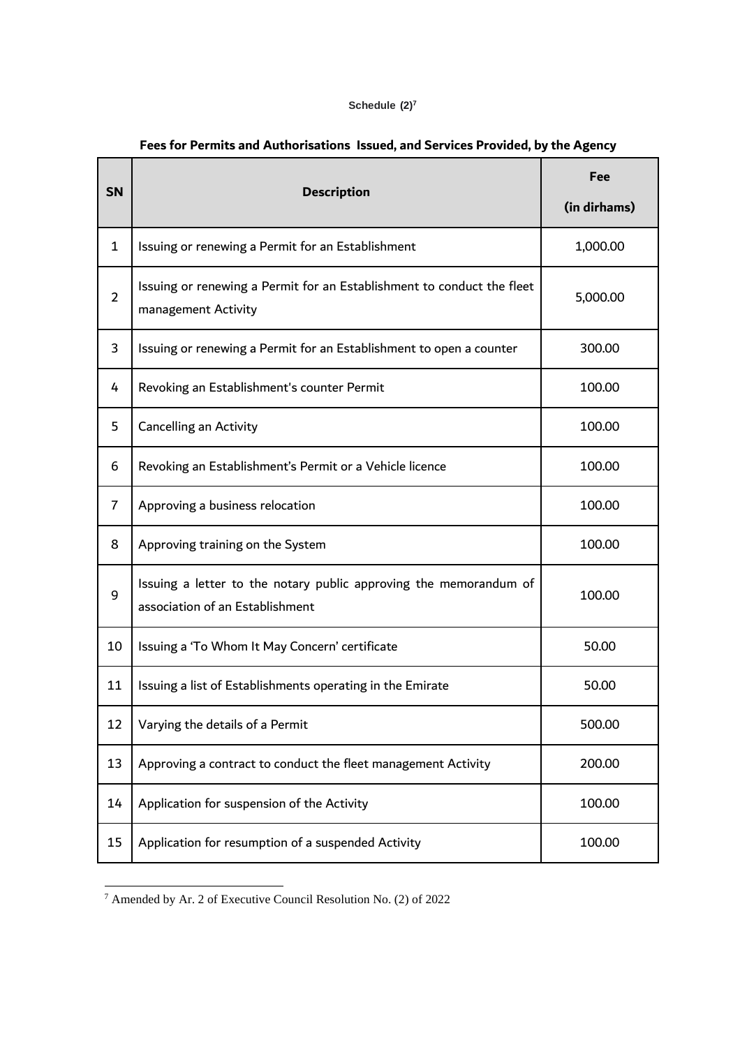### **Schedule (2) 7**

| <b>SN</b>      | <b>Description</b>                                                                                   | Fee<br>(in dirhams) |
|----------------|------------------------------------------------------------------------------------------------------|---------------------|
| $\mathbf{1}$   | Issuing or renewing a Permit for an Establishment                                                    | 1,000.00            |
| $\overline{2}$ | Issuing or renewing a Permit for an Establishment to conduct the fleet<br>management Activity        | 5,000.00            |
| 3              | Issuing or renewing a Permit for an Establishment to open a counter                                  | 300.00              |
| 4              | Revoking an Establishment's counter Permit                                                           | 100.00              |
| 5              | Cancelling an Activity                                                                               | 100.00              |
| 6              | Revoking an Establishment's Permit or a Vehicle licence                                              | 100.00              |
| $\overline{7}$ | Approving a business relocation                                                                      | 100.00              |
| 8              | Approving training on the System                                                                     | 100.00              |
| 9              | Issuing a letter to the notary public approving the memorandum of<br>association of an Establishment | 100.00              |
| 10             | Issuing a 'To Whom It May Concern' certificate                                                       | 50.00               |
| 11             | Issuing a list of Establishments operating in the Emirate                                            | 50.00               |
| 12             | Varying the details of a Permit                                                                      | 500.00              |
| 13             | Approving a contract to conduct the fleet management Activity                                        | 200.00              |
| 14             | Application for suspension of the Activity                                                           | 100.00              |
| 15             | Application for resumption of a suspended Activity                                                   | 100.00              |

# **Fees for Permits and Authorisations Issued, and Services Provided, by the Agency**

 $\frac{7}{4}$  Amended by Ar. 2 of Executive Council Resolution No. (2) of 2022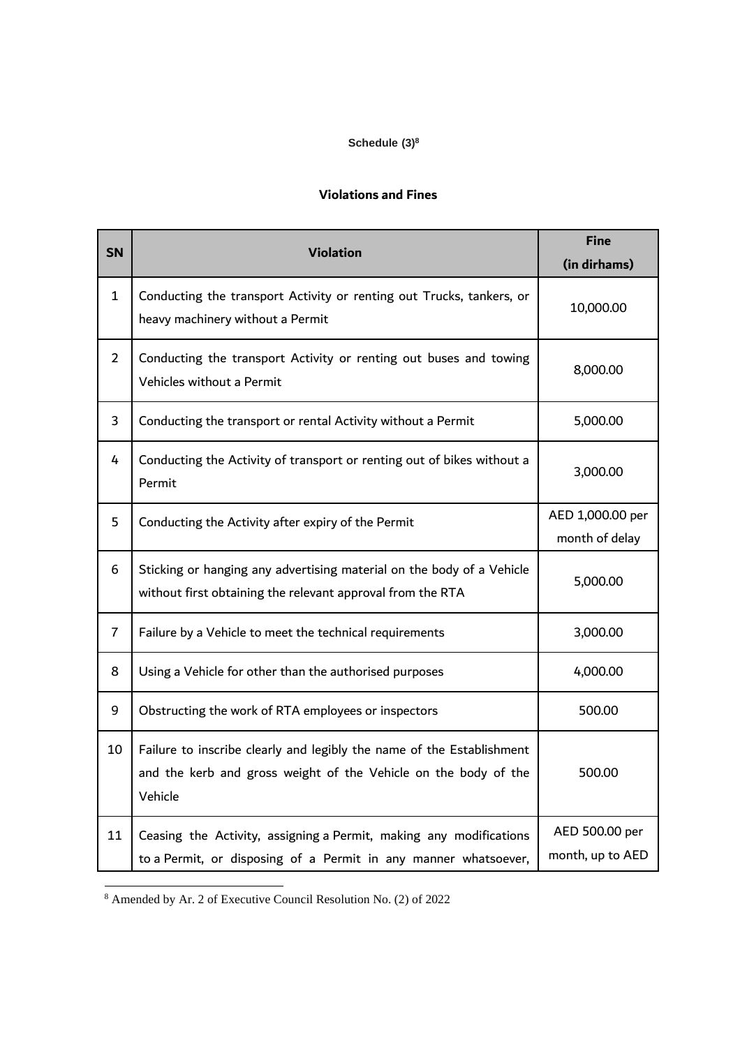## **Schedule (3)<sup>8</sup>**

## **Violations and Fines**

| <b>SN</b>      | <b>Violation</b>                                                                                                                                    | <b>Fine</b><br>(in dirhams)        |
|----------------|-----------------------------------------------------------------------------------------------------------------------------------------------------|------------------------------------|
| $\mathbf{1}$   | Conducting the transport Activity or renting out Trucks, tankers, or<br>heavy machinery without a Permit                                            | 10,000.00                          |
| $\overline{2}$ | Conducting the transport Activity or renting out buses and towing<br>Vehicles without a Permit                                                      | 8,000.00                           |
| 3              | Conducting the transport or rental Activity without a Permit                                                                                        | 5,000.00                           |
| 4              | Conducting the Activity of transport or renting out of bikes without a<br>Permit                                                                    | 3,000.00                           |
| 5              | Conducting the Activity after expiry of the Permit                                                                                                  | AED 1,000.00 per<br>month of delay |
| 6              | Sticking or hanging any advertising material on the body of a Vehicle<br>without first obtaining the relevant approval from the RTA                 | 5,000.00                           |
| 7              | Failure by a Vehicle to meet the technical requirements                                                                                             | 3,000.00                           |
| 8              | Using a Vehicle for other than the authorised purposes                                                                                              | 4,000.00                           |
| 9              | Obstructing the work of RTA employees or inspectors                                                                                                 | 500.00                             |
| 10             | Failure to inscribe clearly and legibly the name of the Establishment<br>and the kerb and gross weight of the Vehicle on the body of the<br>Vehicle | 500.00                             |
| 11             | Ceasing the Activity, assigning a Permit, making any modifications<br>to a Permit, or disposing of a Permit in any manner whatsoever,               | AED 500.00 per<br>month, up to AED |

<sup>8</sup> Amended by Ar. 2 of Executive Council Resolution No. (2) of 2022